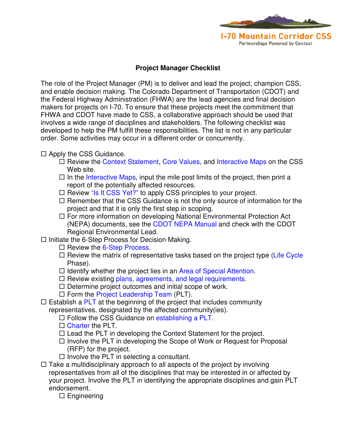

## **Project Manager Checklist**

The role of the Project Manager (PM) is to deliver and lead the project, champion CSS, and enable decision making. The Colorado Department of Transportation (CDOT) and the Federal Highway Administration (FHWA) are the lead agencies and final decision makers for projects on I-70. To ensure that these projects meet the commitment that FHWA and CDOT have made to CSS, a collaborative approach should be used that involves a wide range of disciplines and stakeholders. The following checklist was developed to help the PM fulfill these responsibilities. The list is not in any particular order. Some activities may occur in a different order or concurrently.

 $\Box$  Apply the CSS Guidance.

- $\Box$  Review the [Context Statement,](http://cdot.i70css.webfactional.com/cdot/statement) [Core Values,](http://cdot.i70css.webfactional.com/cdot/corevalues) and [Interactive Maps](http://204.227.9.152/cdoti70css/index.html) on the CSS Web site.
- $\Box$  In the [Interactive Maps,](http://204.227.9.152/cdoti70css/index.html) input the mile post limits of the project, then print a report of the potentially affected resources.
- $\Box$  Review ["Is It CSS Yet?"](http://cdot.i70css.webfactional.com/cdot/docs/decision-making/DecisionProcess_IsItCSSYet.pdf/) to apply CSS principles to your project.
- $\Box$  Remember that the CSS Guidance is not the only source of information for the project and that it is only the first step in scoping.
- □ For more information on developing National Environmental Protection Act (NEPA) documents, see the [CDOT NEPA Manual a](http://www.coloradodot.info/programs/environmental/nepa-program/nepa-manual/cdot_nepa-manual_version2.pdf/view)nd check with the CDOT Regional Environmental Lead.
- $\Box$  Initiate the 6-Step Process for Decision Making.
	- $\Box$  Review the [6-Step Process](http://cdot.i70css.webfactional.com/cdot/decision/6-step-process/overview-of-the-6-step-process/?searchterm=6-step%20process).
	- $\Box$  Review the matrix of representative tasks based on the project type (Life Cycle Phase).
	- $\Box$  Identify whether the project lies in an [Area of Special Attention.](http://cdot.i70css.webfactional.com/cdot/design/areas)
	- $\Box$  Review existing [plans, agreements, and legal requirements.](http://cdot.i70css.webfactional.com/cdot/css/library/plans-agreements-and-legal-requirements)
	- $\Box$  Determine project outcomes and initial scope of work.
	- $\Box$  Form the [Project Leadership Team](http://cdot.i70css.webfactional.com/cdot/docs/decision-making/project-leadership-team) (PLT).
- $\Box$  Establish a [PLT](http://cdot.i70css.webfactional.com/cdot/docs/decision-making/project-leadership-team) at the beginning of the project that includes community representatives, designated by the affected community(ies).
	- $\Box$  Follow the CSS Guidance on [establishing a PLT.](http://i70mtncorridorcss.com/docs/decision-making/DecisionProcess_CollaborationandCommunication_PLT_PLTChecklist.pdf)
	- $\Box$  [Charter](http://i70mtncorridorcss.com/docs/decision-making/DecisionProcess_PLTCharteringPlanningResources.pdf) the PLT.
	- $\Box$  Lead the PLT in developing the Context Statement for the project.
	- $\Box$  Involve the PLT in developing the Scope of Work or Request for Proposal (RFP) for the project.
	- $\Box$  Involve the PLT in selecting a consultant.
- $\Box$  Take a multidisciplinary approach to all aspects of the project by involving representatives from all of the disciplines that may be interested in or affected by your project. Involve the PLT in identifying the appropriate disciplines and gain PLT endorsement.
	- $\square$  Engineering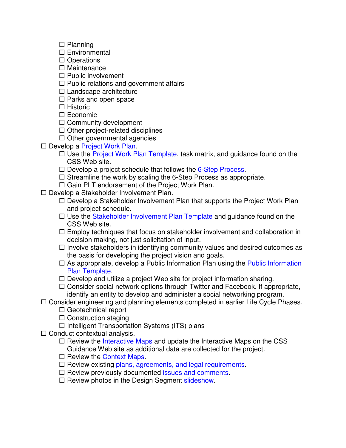- $\square$  Planning
- $\square$  Environmental
- $\Box$  Operations
- $\square$  Maintenance
- $\Box$  Public involvement
- $\Box$  Public relations and government affairs
- $\Box$  Landscape architecture
- $\Box$  Parks and open space
- $\Box$  Historic
- $\square$  Economic
- $\Box$  Community development
- $\Box$  Other project-related disciplines
- $\Box$  Other governmental agencies
- □ Develop a [Project Work Plan.](http://cdot.i70css.webfactional.com/cdot/docs/DecisionProcess_ProjectWorkPlanTemplate.doc/)
	- $\Box$  Use the [Project Work Plan Template](http://cdot.i70css.webfactional.com/cdot/docs/DecisionProcess_ProjectWorkPlanTemplate.doc/), task matrix, and guidance found on the CSS Web site.
	- $\Box$  Develop a project schedule that follows the [6-Step Process.](http://cdot.i70css.webfactional.com/cdot/decision/6-step-process)
	- $\Box$  Streamline the work by scaling the 6-Step Process as appropriate.
	- □ Gain PLT endorsement of the Project Work Plan.
- □ Develop a Stakeholder Involvement Plan.
	- $\Box$  Develop a Stakeholder Involvement Plan that supports the Project Work Plan and project schedule.
	- $\Box$  Use the [Stakeholder Involvement Plan Template](http://cdot.i70css.webfactional.com/cdot/docs/stakeholder-input/DecisionProcess_StakeholderInvolvementPlanTemplate.doc/) and guidance found on the CSS Web site.
	- $\Box$  Employ techniques that focus on stakeholder involvement and collaboration in decision making, not just solicitation of input.
	- $\Box$  Involve stakeholders in identifying community values and desired outcomes as the basis for developing the project vision and goals.
	- $\Box$  As appropriate, develop a [Public Information](http://cdot.i70css.webfactional.com/cdot/docs/DecisionProcess_PublicInformationPlanTemplate.doc/) Plan using the Public Information Plan Template.
	- $\Box$  Develop and utilize a project Web site for project information sharing.
	- $\Box$  Consider social network options through Twitter and Facebook. If appropriate, identify an entity to develop and administer a social networking program.
- $\Box$  Consider engineering and planning elements completed in earlier Life Cycle Phases.
	- $\Box$  Geotechnical report
	- $\Box$  Construction staging
	- $\Box$  Intelligent Transportation Systems (ITS) plans
- $\Box$  Conduct contextual analysis.
	- $\Box$  Review the [Interactive Maps](http://204.227.9.152/cdoti70css/index.html) and update the Interactive Maps on the CSS Guidance Web site as additional data are collected for the project.
	- $\Box$  Review the [Context Maps.](http://i70mtncorridorcss.com/design/i-70-mountain-corridor-aesthetic-guidance)
	- $\square$  Review existing [plans, agreements, and legal requirements.](http://i70mtncorridorcss.com/css/library/plans-agreements-and-legal-requirements)
	- $\Box$  Review previously documented [issues and comments.](http://i70mtncorridorcss.com/pdf/I70CSS_Critical%20Issues%20Matrix.pdf/)
	- $\square$  Review photos in the Design Segment [slideshow](http://cdot.i70css.webfactional.com/cdot/css/library/slideshows).